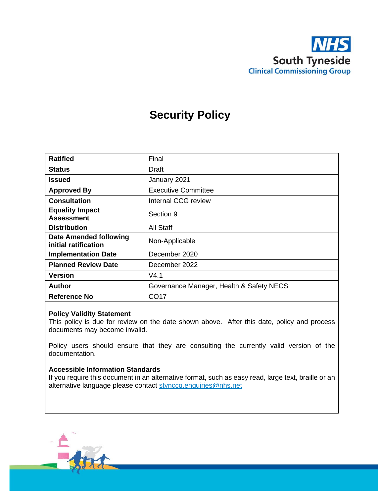

# **Security Policy**

| <b>Ratified</b>                                       | Final                                    |
|-------------------------------------------------------|------------------------------------------|
| <b>Status</b>                                         | Draft                                    |
| <b>Issued</b>                                         | January 2021                             |
| <b>Approved By</b>                                    | <b>Executive Committee</b>               |
| <b>Consultation</b>                                   | Internal CCG review                      |
| <b>Equality Impact</b><br><b>Assessment</b>           | Section 9                                |
| <b>Distribution</b>                                   | All Staff                                |
| <b>Date Amended following</b><br>initial ratification | Non-Applicable                           |
| <b>Implementation Date</b>                            | December 2020                            |
| <b>Planned Review Date</b>                            | December 2022                            |
| <b>Version</b>                                        | V4.1                                     |
| Author                                                | Governance Manager, Health & Safety NECS |
| <b>Reference No</b>                                   | CO <sub>17</sub>                         |

#### **Policy Validity Statement**

This policy is due for review on the date shown above. After this date, policy and process documents may become invalid.

Policy users should ensure that they are consulting the currently valid version of the documentation.

#### **Accessible Information Standards**

If you require this document in an alternative format, such as easy read, large text, braille or an alternative language please contact [stynccg.enquiries@nhs.net](mailto:stynccg.enquiries@nhs.net)

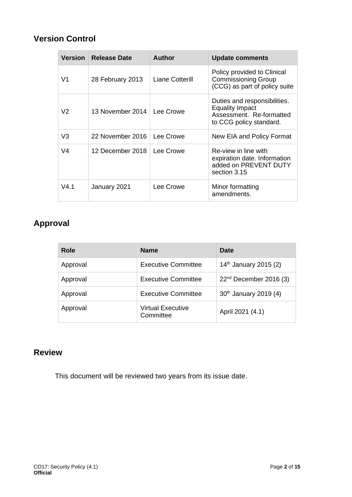# **Version Control**

| <b>Version</b> | Release Date     | <b>Author</b>   | <b>Update comments</b>                                                                                        |
|----------------|------------------|-----------------|---------------------------------------------------------------------------------------------------------------|
| V1             | 28 February 2013 | Liane Cotterill | Policy provided to Clinical<br><b>Commissioning Group</b><br>(CCG) as part of policy suite                    |
| V2             | 13 November 2014 | Lee Crowe       | Duties and responsibilities.<br><b>Equality Impact</b><br>Assessment. Re-formatted<br>to CCG policy standard. |
| V <sub>3</sub> | 22 November 2016 | Lee Crowe       | New EIA and Policy Format                                                                                     |
| V4             | 12 December 2018 | Lee Crowe       | Re-view in line with<br>expiration date. Information<br>added on PREVENT DUTY<br>section 3.15                 |
| V4.1           | January 2021     | Lee Crowe       | Minor formatting<br>amendments.                                                                               |

# **Approval**

| Role     | <b>Name</b>                           | <b>Date</b>                       |
|----------|---------------------------------------|-----------------------------------|
| Approval | <b>Executive Committee</b>            | 14th January 2015 (2)             |
| Approval | <b>Executive Committee</b>            | $22nd$ December 2016 (3)          |
| Approval | <b>Executive Committee</b>            | 30 <sup>th</sup> January 2019 (4) |
| Approval | <b>Virtual Executive</b><br>Committee | April 2021 (4.1)                  |

# **Review**

This document will be reviewed two years from its issue date.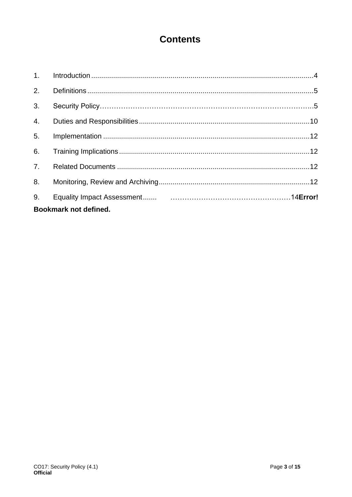# **Contents**

| 2. |                                                                                                                                                                                                                                     |  |
|----|-------------------------------------------------------------------------------------------------------------------------------------------------------------------------------------------------------------------------------------|--|
| 3. |                                                                                                                                                                                                                                     |  |
| 4. |                                                                                                                                                                                                                                     |  |
| 5. |                                                                                                                                                                                                                                     |  |
| 6. |                                                                                                                                                                                                                                     |  |
|    |                                                                                                                                                                                                                                     |  |
| 8. |                                                                                                                                                                                                                                     |  |
| 9. |                                                                                                                                                                                                                                     |  |
|    | <b>Bookmark not defined.</b> The state of the state of the state of the state of the state of the state of the state of the state of the state of the state of the state of the state of the state of the state of the state of the |  |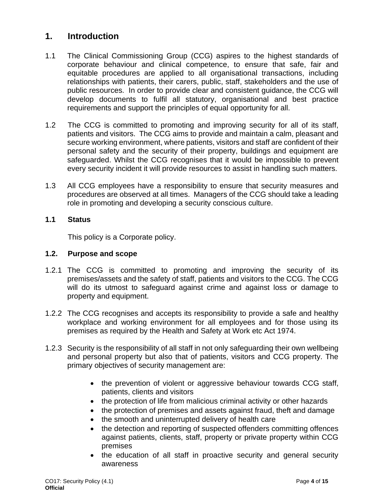# **1. Introduction**

- <span id="page-3-0"></span>1.1 The Clinical Commissioning Group (CCG) aspires to the highest standards of corporate behaviour and clinical competence, to ensure that safe, fair and equitable procedures are applied to all organisational transactions, including relationships with patients, their carers, public, staff, stakeholders and the use of public resources. In order to provide clear and consistent guidance, the CCG will develop documents to fulfil all statutory, organisational and best practice requirements and support the principles of equal opportunity for all.
- 1.2 The CCG is committed to promoting and improving security for all of its staff, patients and visitors. The CCG aims to provide and maintain a calm, pleasant and secure working environment, where patients, visitors and staff are confident of their personal safety and the security of their property, buildings and equipment are safeguarded. Whilst the CCG recognises that it would be impossible to prevent every security incident it will provide resources to assist in handling such matters.
- 1.3 All CCG employees have a responsibility to ensure that security measures and procedures are observed at all times. Managers of the CCG should take a leading role in promoting and developing a security conscious culture.

## **1.1 Status**

This policy is a Corporate policy.

## **1.2. Purpose and scope**

- 1.2.1 The CCG is committed to promoting and improving the security of its premises/assets and the safety of staff, patients and visitors to the CCG. The CCG will do its utmost to safeguard against crime and against loss or damage to property and equipment.
- 1.2.2 The CCG recognises and accepts its responsibility to provide a safe and healthy workplace and working environment for all employees and for those using its premises as required by the Health and Safety at Work etc Act 1974.
- 1.2.3 Security is the responsibility of all staff in not only safeguarding their own wellbeing and personal property but also that of patients, visitors and CCG property. The primary objectives of security management are:
	- the prevention of violent or aggressive behaviour towards CCG staff, patients, clients and visitors
	- the protection of life from malicious criminal activity or other hazards
	- the protection of premises and assets against fraud, theft and damage
	- the smooth and uninterrupted delivery of health care
	- the detection and reporting of suspected offenders committing offences against patients, clients, staff, property or private property within CCG premises
	- the education of all staff in proactive security and general security awareness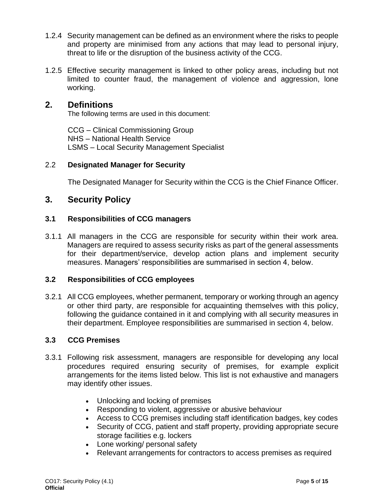- 1.2.4 Security management can be defined as an environment where the risks to people and property are minimised from any actions that may lead to personal injury, threat to life or the disruption of the business activity of the CCG.
- 1.2.5 Effective security management is linked to other policy areas, including but not limited to counter fraud, the management of violence and aggression, lone working.

## **2. Definitions**

The following terms are used in this document:

<span id="page-4-0"></span>CCG – Clinical Commissioning Group NHS – National Health Service LSMS – Local Security Management Specialist

## 2.2 **Designated Manager for Security**

The Designated Manager for Security within the CCG is the Chief Finance Officer.

## **3. Security Policy**

#### **3.1 Responsibilities of CCG managers**

<span id="page-4-1"></span>3.1.1 All managers in the CCG are responsible for security within their work area. Managers are required to assess security risks as part of the general assessments for their department/service, develop action plans and implement security measures. Managers' responsibilities are summarised in section 4, below.

#### **3.2 Responsibilities of CCG employees**

3.2.1 All CCG employees, whether permanent, temporary or working through an agency or other third party, are responsible for acquainting themselves with this policy, following the guidance contained in it and complying with all security measures in their department. Employee responsibilities are summarised in section 4, below.

#### **3.3 CCG Premises**

- 3.3.1 Following risk assessment, managers are responsible for developing any local procedures required ensuring security of premises, for example explicit arrangements for the items listed below. This list is not exhaustive and managers may identify other issues.
	- Unlocking and locking of premises
	- Responding to violent, aggressive or abusive behaviour
	- Access to CCG premises including staff identification badges, key codes
	- Security of CCG, patient and staff property, providing appropriate secure storage facilities e.g. lockers
	- Lone working/ personal safety
	- Relevant arrangements for contractors to access premises as required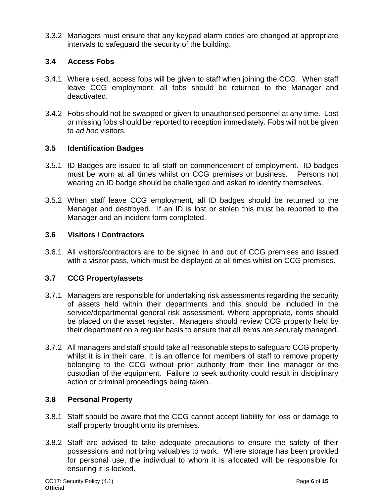3.3.2 Managers must ensure that any keypad alarm codes are changed at appropriate intervals to safeguard the security of the building.

## **3.4 Access Fobs**

- 3.4.1 Where used, access fobs will be given to staff when joining the CCG. When staff leave CCG employment, all fobs should be returned to the Manager and deactivated.
- 3.4.2 Fobs should not be swapped or given to unauthorised personnel at any time. Lost or missing fobs should be reported to reception immediately. Fobs will not be given to *ad hoc* visitors.

## **3.5 Identification Badges**

- 3.5.1 ID Badges are issued to all staff on commencement of employment. ID badges must be worn at all times whilst on CCG premises or business. Persons not wearing an ID badge should be challenged and asked to identify themselves.
- 3.5.2 When staff leave CCG employment, all ID badges should be returned to the Manager and destroyed. If an ID is lost or stolen this must be reported to the Manager and an incident form completed.

## **3.6 Visitors / Contractors**

3.6.1 All visitors/contractors are to be signed in and out of CCG premises and issued with a visitor pass, which must be displayed at all times whilst on CCG premises.

## **3.7 CCG Property/assets**

- 3.7.1 Managers are responsible for undertaking risk assessments regarding the security of assets held within their departments and this should be included in the service/departmental general risk assessment. Where appropriate, items should be placed on the asset register. Managers should review CCG property held by their department on a regular basis to ensure that all items are securely managed.
- 3.7.2 All managers and staff should take all reasonable steps to safeguard CCG property whilst it is in their care. It is an offence for members of staff to remove property belonging to the CCG without prior authority from their line manager or the custodian of the equipment. Failure to seek authority could result in disciplinary action or criminal proceedings being taken.

## **3.8 Personal Property**

- 3.8.1 Staff should be aware that the CCG cannot accept liability for loss or damage to staff property brought onto its premises.
- 3.8.2 Staff are advised to take adequate precautions to ensure the safety of their possessions and not bring valuables to work. Where storage has been provided for personal use, the individual to whom it is allocated will be responsible for ensuring it is locked.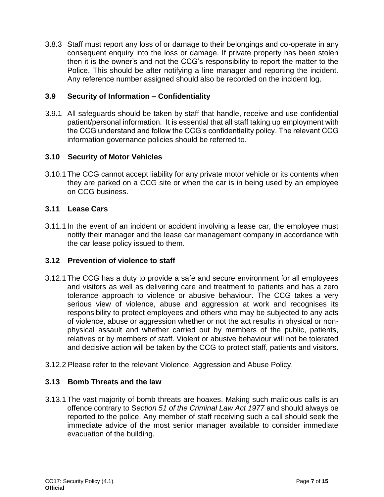3.8.3 Staff must report any loss of or damage to their belongings and co-operate in any consequent enquiry into the loss or damage. If private property has been stolen then it is the owner's and not the CCG's responsibility to report the matter to the Police. This should be after notifying a line manager and reporting the incident. Any reference number assigned should also be recorded on the incident log.

## **3.9 Security of Information – Confidentiality**

3.9.1 All safeguards should be taken by staff that handle, receive and use confidential patient/personal information. It is essential that all staff taking up employment with the CCG understand and follow the CCG's confidentiality policy. The relevant CCG information governance policies should be referred to.

## **3.10 Security of Motor Vehicles**

3.10.1 The CCG cannot accept liability for any private motor vehicle or its contents when they are parked on a CCG site or when the car is in being used by an employee on CCG business.

## **3.11 Lease Cars**

3.11.1 In the event of an incident or accident involving a lease car, the employee must notify their manager and the lease car management company in accordance with the car lease policy issued to them.

## **3.12 Prevention of violence to staff**

- 3.12.1 The CCG has a duty to provide a safe and secure environment for all employees and visitors as well as delivering care and treatment to patients and has a zero tolerance approach to violence or abusive behaviour. The CCG takes a very serious view of violence, abuse and aggression at work and recognises its responsibility to protect employees and others who may be subjected to any acts of violence, abuse or aggression whether or not the act results in physical or nonphysical assault and whether carried out by members of the public, patients, relatives or by members of staff. Violent or abusive behaviour will not be tolerated and decisive action will be taken by the CCG to protect staff, patients and visitors.
- 3.12.2 Please refer to the relevant Violence, Aggression and Abuse Policy.

## **3.13 Bomb Threats and the law**

3.13.1 The vast majority of bomb threats are hoaxes. Making such malicious calls is an offence contrary to S*ection 51 of the Criminal Law Act 1977* and should always be reported to the police. Any member of staff receiving such a call should seek the immediate advice of the most senior manager available to consider immediate evacuation of the building.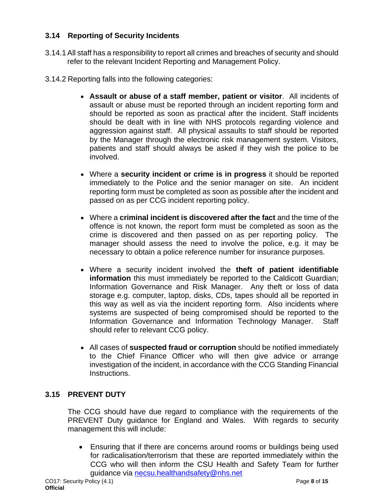## **3.14 Reporting of Security Incidents**

- 3.14.1All staff has a responsibility to report all crimes and breaches of security and should refer to the relevant Incident Reporting and Management Policy.
- 3.14.2 Reporting falls into the following categories:
	- **Assault or abuse of a staff member, patient or visitor**. All incidents of assault or abuse must be reported through an incident reporting form and should be reported as soon as practical after the incident. Staff incidents should be dealt with in line with NHS protocols regarding violence and aggression against staff. All physical assaults to staff should be reported by the Manager through the electronic risk management system. Visitors, patients and staff should always be asked if they wish the police to be involved.
	- Where a **security incident or crime is in progress** it should be reported immediately to the Police and the senior manager on site. An incident reporting form must be completed as soon as possible after the incident and passed on as per CCG incident reporting policy.
	- Where a **criminal incident is discovered after the fact** and the time of the offence is not known, the report form must be completed as soon as the crime is discovered and then passed on as per reporting policy. The manager should assess the need to involve the police, e.g. it may be necessary to obtain a police reference number for insurance purposes.
	- Where a security incident involved the **theft of patient identifiable information** this must immediately be reported to the Caldicott Guardian; Information Governance and Risk Manager. Any theft or loss of data storage e.g. computer, laptop, disks, CDs, tapes should all be reported in this way as well as via the incident reporting form. Also incidents where systems are suspected of being compromised should be reported to the Information Governance and Information Technology Manager. Staff should refer to relevant CCG policy.
	- All cases of **suspected fraud or corruption** should be notified immediately to the Chief Finance Officer who will then give advice or arrange investigation of the incident, in accordance with the CCG Standing Financial Instructions.

## **3.15 PREVENT DUTY**

The CCG should have due regard to compliance with the requirements of the PREVENT Duty guidance for England and Wales. With regards to security management this will include:

• Ensuring that if there are concerns around rooms or buildings being used for radicalisation/terrorism that these are reported immediately within the CCG who will then inform the CSU Health and Safety Team for further guidance via [necsu.healthandsafety@nhs.net](mailto:necsu.healthandsafety@nhs.net)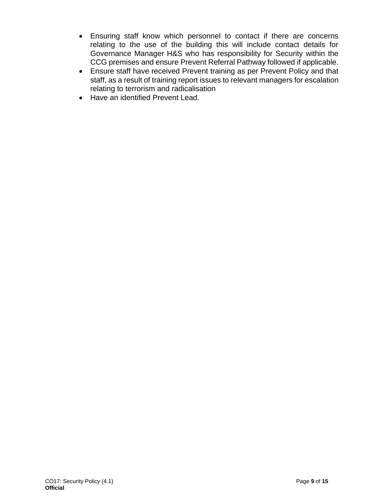- Ensuring staff know which personnel to contact if there are concerns relating to the use of the building this will include contact details for Governance Manager H&S who has responsibility for Security within the CCG premises and ensure Prevent Referral Pathway followed if applicable.
- Ensure staff have received Prevent training as per Prevent Policy and that staff, as a result of training report issues to relevant managers for escalation relating to terrorism and radicalisation
- Have an identified Prevent Lead.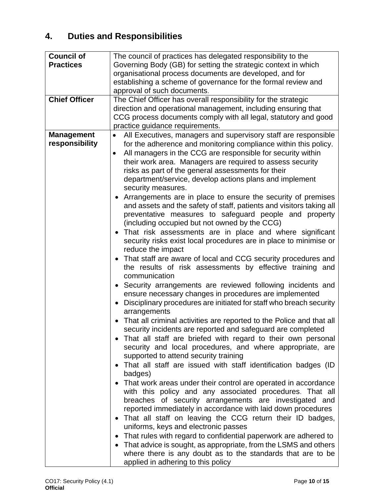# **4. Duties and Responsibilities**

<span id="page-9-0"></span>

| <b>Council of</b>    | The council of practices has delegated responsibility to the                |  |
|----------------------|-----------------------------------------------------------------------------|--|
| <b>Practices</b>     | Governing Body (GB) for setting the strategic context in which              |  |
|                      | organisational process documents are developed, and for                     |  |
|                      | establishing a scheme of governance for the formal review and               |  |
|                      | approval of such documents.                                                 |  |
| <b>Chief Officer</b> | The Chief Officer has overall responsibility for the strategic              |  |
|                      | direction and operational management, including ensuring that               |  |
|                      | CCG process documents comply with all legal, statutory and good             |  |
|                      | practice guidance requirements.                                             |  |
| <b>Management</b>    |                                                                             |  |
| responsibility       | All Executives, managers and supervisory staff are responsible<br>$\bullet$ |  |
|                      | for the adherence and monitoring compliance within this policy.             |  |
|                      | All managers in the CCG are responsible for security within<br>$\bullet$    |  |
|                      | their work area. Managers are required to assess security                   |  |
|                      | risks as part of the general assessments for their                          |  |
|                      | department/service, develop actions plans and implement                     |  |
|                      | security measures.                                                          |  |
|                      | • Arrangements are in place to ensure the security of premises              |  |
|                      | and assets and the safety of staff, patients and visitors taking all        |  |
|                      | preventative measures to safeguard people and property                      |  |
|                      | (including occupied but not owned by the CCG)                               |  |
|                      | That risk assessments are in place and where significant<br>$\bullet$       |  |
|                      | security risks exist local procedures are in place to minimise or           |  |
|                      | reduce the impact                                                           |  |
|                      | That staff are aware of local and CCG security procedures and               |  |
|                      | the results of risk assessments by effective training and                   |  |
|                      | communication                                                               |  |
|                      | • Security arrangements are reviewed following incidents and                |  |
|                      | ensure necessary changes in procedures are implemented                      |  |
|                      | Disciplinary procedures are initiated for staff who breach security         |  |
|                      | arrangements                                                                |  |
|                      | That all criminal activities are reported to the Police and that all        |  |
|                      | security incidents are reported and safeguard are completed                 |  |
|                      | • That all staff are briefed with regard to their own personal              |  |
|                      | security and local procedures, and where appropriate, are                   |  |
|                      | supported to attend security training                                       |  |
|                      | That all staff are issued with staff identification badges (ID              |  |
|                      | badges)                                                                     |  |
|                      | That work areas under their control are operated in accordance              |  |
|                      | with this policy and any associated procedures. That all                    |  |
|                      | breaches of security arrangements are investigated and                      |  |
|                      | reported immediately in accordance with laid down procedures                |  |
|                      | • That all staff on leaving the CCG return their ID badges,                 |  |
|                      | uniforms, keys and electronic passes                                        |  |
|                      | That rules with regard to confidential paperwork are adhered to             |  |
|                      | $\bullet$                                                                   |  |
|                      | • That advice is sought, as appropriate, from the LSMS and others           |  |
|                      | where there is any doubt as to the standards that are to be                 |  |
|                      | applied in adhering to this policy                                          |  |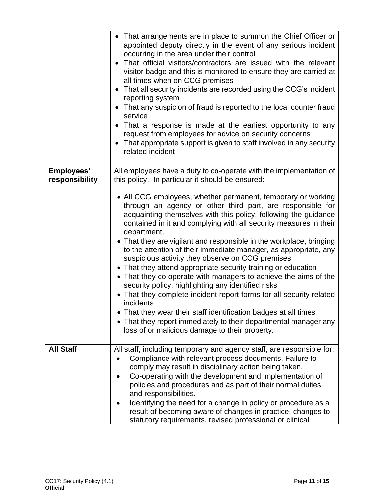|                  | • That arrangements are in place to summon the Chief Officer or<br>appointed deputy directly in the event of any serious incident<br>occurring in the area under their control<br>That official visitors/contractors are issued with the relevant<br>visitor badge and this is monitored to ensure they are carried at<br>all times when on CCG premises<br>That all security incidents are recorded using the CCG's incident<br>$\bullet$<br>reporting system<br>• That any suspicion of fraud is reported to the local counter fraud<br>service<br>That a response is made at the earliest opportunity to any<br>request from employees for advice on security concerns<br>That appropriate support is given to staff involved in any security<br>related incident                                                                                                                                                                                  |
|------------------|-------------------------------------------------------------------------------------------------------------------------------------------------------------------------------------------------------------------------------------------------------------------------------------------------------------------------------------------------------------------------------------------------------------------------------------------------------------------------------------------------------------------------------------------------------------------------------------------------------------------------------------------------------------------------------------------------------------------------------------------------------------------------------------------------------------------------------------------------------------------------------------------------------------------------------------------------------|
| Employees'       | All employees have a duty to co-operate with the implementation of                                                                                                                                                                                                                                                                                                                                                                                                                                                                                                                                                                                                                                                                                                                                                                                                                                                                                    |
| responsibility   | this policy. In particular it should be ensured:                                                                                                                                                                                                                                                                                                                                                                                                                                                                                                                                                                                                                                                                                                                                                                                                                                                                                                      |
| <b>All Staff</b> | • All CCG employees, whether permanent, temporary or working<br>through an agency or other third part, are responsible for<br>acquainting themselves with this policy, following the guidance<br>contained in it and complying with all security measures in their<br>department.<br>• That they are vigilant and responsible in the workplace, bringing<br>to the attention of their immediate manager, as appropriate, any<br>suspicious activity they observe on CCG premises<br>• That they attend appropriate security training or education<br>• That they co-operate with managers to achieve the aims of the<br>security policy, highlighting any identified risks<br>• That they complete incident report forms for all security related<br>incidents<br>That they wear their staff identification badges at all times<br>• That they report immediately to their departmental manager any<br>loss of or malicious damage to their property. |
|                  | All staff, including temporary and agency staff, are responsible for:<br>Compliance with relevant process documents. Failure to                                                                                                                                                                                                                                                                                                                                                                                                                                                                                                                                                                                                                                                                                                                                                                                                                       |
|                  | comply may result in disciplinary action being taken.                                                                                                                                                                                                                                                                                                                                                                                                                                                                                                                                                                                                                                                                                                                                                                                                                                                                                                 |
|                  | Co-operating with the development and implementation of                                                                                                                                                                                                                                                                                                                                                                                                                                                                                                                                                                                                                                                                                                                                                                                                                                                                                               |
|                  | policies and procedures and as part of their normal duties                                                                                                                                                                                                                                                                                                                                                                                                                                                                                                                                                                                                                                                                                                                                                                                                                                                                                            |
|                  | and responsibilities.<br>Identifying the need for a change in policy or procedure as a                                                                                                                                                                                                                                                                                                                                                                                                                                                                                                                                                                                                                                                                                                                                                                                                                                                                |
|                  | result of becoming aware of changes in practice, changes to                                                                                                                                                                                                                                                                                                                                                                                                                                                                                                                                                                                                                                                                                                                                                                                                                                                                                           |
|                  | statutory requirements, revised professional or clinical                                                                                                                                                                                                                                                                                                                                                                                                                                                                                                                                                                                                                                                                                                                                                                                                                                                                                              |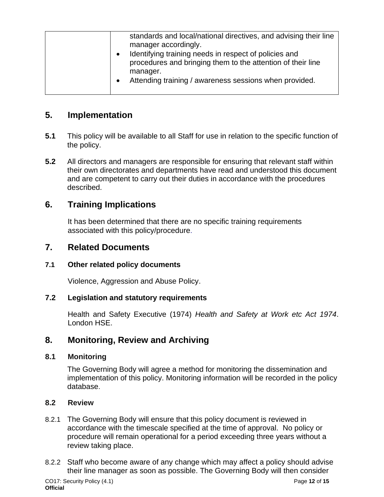# **5. Implementation**

- <span id="page-11-0"></span>**5.1** This policy will be available to all Staff for use in relation to the specific function of the policy.
- **5.2** All directors and managers are responsible for ensuring that relevant staff within their own directorates and departments have read and understood this document and are competent to carry out their duties in accordance with the procedures described.

# **6. Training Implications**

It has been determined that there are no specific training requirements associated with this policy/procedure.

## <span id="page-11-1"></span>**7. Related Documents**

## <span id="page-11-2"></span>**7.1 Other related policy documents**

Violence, Aggression and Abuse Policy.

## **7.2 Legislation and statutory requirements**

Health and Safety Executive (1974) *Health and Safety at Work etc Act 1974*. London HSE.

## **8. Monitoring, Review and Archiving**

## <span id="page-11-3"></span>**8.1 Monitoring**

The Governing Body will agree a method for monitoring the dissemination and implementation of this policy. Monitoring information will be recorded in the policy database.

## **8.2 Review**

- 8.2.1 The Governing Body will ensure that this policy document is reviewed in accordance with the timescale specified at the time of approval. No policy or procedure will remain operational for a period exceeding three years without a review taking place.
- 8.2.2 Staff who become aware of any change which may affect a policy should advise their line manager as soon as possible. The Governing Body will then consider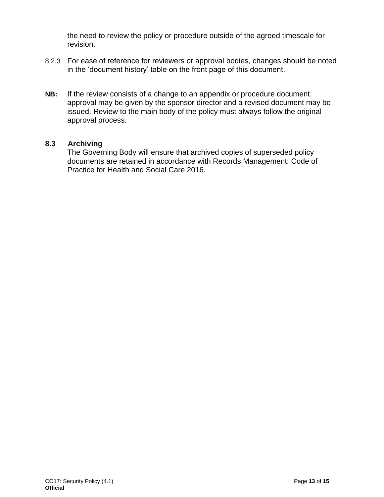the need to review the policy or procedure outside of the agreed timescale for revision.

- 8.2.3 For ease of reference for reviewers or approval bodies, changes should be noted in the 'document history' table on the front page of this document.
- **NB:** If the review consists of a change to an appendix or procedure document, approval may be given by the sponsor director and a revised document may be issued. Review to the main body of the policy must always follow the original approval process.

#### **8.3 Archiving**

The Governing Body will ensure that archived copies of superseded policy documents are retained in accordance with Records Management: Code of Practice for Health and Social Care 2016.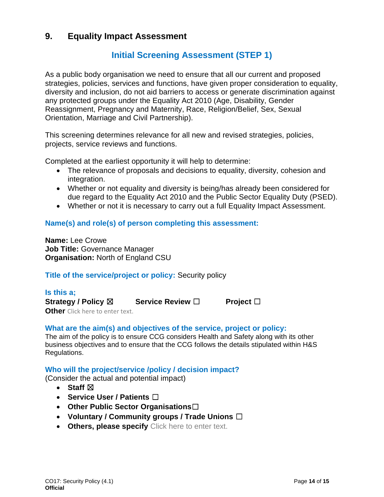# **9. Equality Impact Assessment**

# **Initial Screening Assessment (STEP 1)**

As a public body organisation we need to ensure that all our current and proposed strategies, policies, services and functions, have given proper consideration to equality, diversity and inclusion, do not aid barriers to access or generate discrimination against any protected groups under the Equality Act 2010 (Age, Disability, Gender Reassignment, Pregnancy and Maternity, Race, Religion/Belief, Sex, Sexual Orientation, Marriage and Civil Partnership).

This screening determines relevance for all new and revised strategies, policies, projects, service reviews and functions.

Completed at the earliest opportunity it will help to determine:

- The relevance of proposals and decisions to equality, diversity, cohesion and integration.
- Whether or not equality and diversity is being/has already been considered for due regard to the Equality Act 2010 and the Public Sector Equality Duty (PSED).
- Whether or not it is necessary to carry out a full Equality Impact Assessment.

#### **Name(s) and role(s) of person completing this assessment:**

**Name:** Lee Crowe **Job Title:** Governance Manager **Organisation:** North of England CSU

#### **Title of the service/project or policy:** Security policy

#### **Is this a; Strategy / Policy** ☒ **Service Review** ☐ **Project** ☐

**Other** Click here to enter text.

#### **What are the aim(s) and objectives of the service, project or policy:**

The aim of the policy is to ensure CCG considers Health and Safety along with its other business objectives and to ensure that the CCG follows the details stipulated within H&S Regulations.

#### **Who will the project/service /policy / decision impact?**

(Consider the actual and potential impact)

- **Staff**  $\boxtimes$
- **Service User / Patients** ☐
- **Other Public Sector Organisations**☐
- **Voluntary / Community groups / Trade Unions** ☐
- **Others, please specify** Click here to enter text.